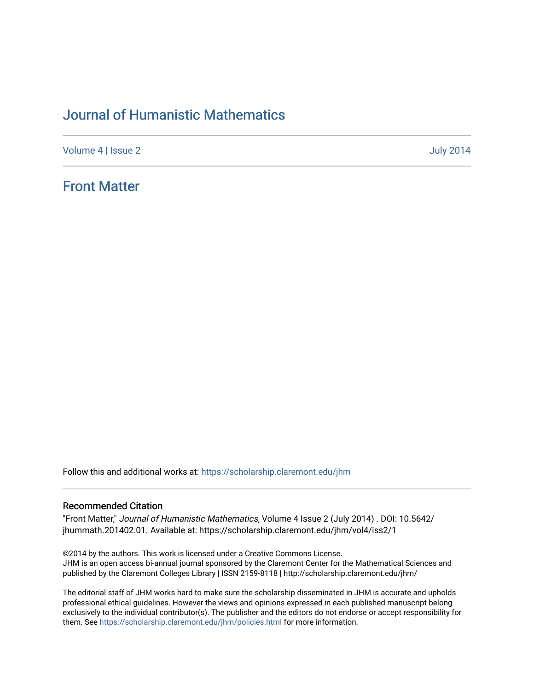# [Journal of Humanistic Mathematics](https://scholarship.claremont.edu/jhm)

[Volume 4](https://scholarship.claremont.edu/jhm/vol4) | [Issue 2](https://scholarship.claremont.edu/jhm/vol4/iss2) July 2014

# [Front Matter](https://scholarship.claremont.edu/jhm/vol4/iss2/1)

Follow this and additional works at: [https://scholarship.claremont.edu/jhm](https://scholarship.claremont.edu/jhm?utm_source=scholarship.claremont.edu%2Fjhm%2Fvol4%2Fiss2%2F1&utm_medium=PDF&utm_campaign=PDFCoverPages)

## Recommended Citation

"Front Matter," Journal of Humanistic Mathematics, Volume 4 Issue 2 (July 2014) . DOI: 10.5642/ jhummath.201402.01. Available at: https://scholarship.claremont.edu/jhm/vol4/iss2/1

©2014 by the authors. This work is licensed under a Creative Commons License. JHM is an open access bi-annual journal sponsored by the Claremont Center for the Mathematical Sciences and published by the Claremont Colleges Library | ISSN 2159-8118 | http://scholarship.claremont.edu/jhm/

The editorial staff of JHM works hard to make sure the scholarship disseminated in JHM is accurate and upholds professional ethical guidelines. However the views and opinions expressed in each published manuscript belong exclusively to the individual contributor(s). The publisher and the editors do not endorse or accept responsibility for them. See<https://scholarship.claremont.edu/jhm/policies.html> for more information.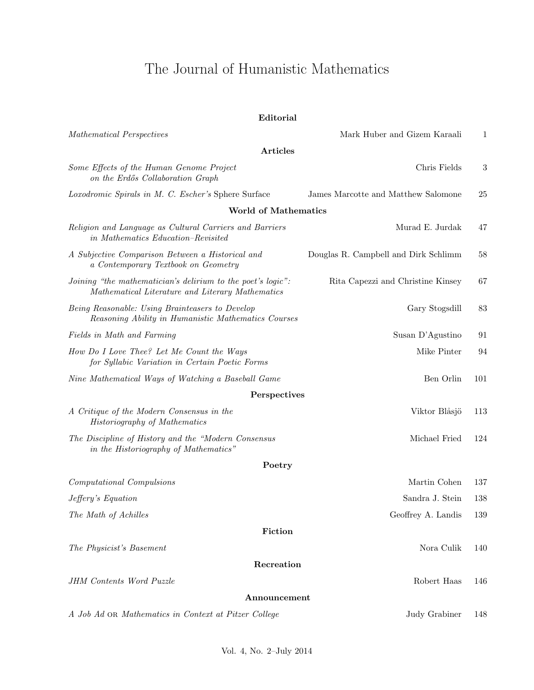# The Journal of Humanistic Mathematics

| Editorial                                                                                                       |                                      |     |
|-----------------------------------------------------------------------------------------------------------------|--------------------------------------|-----|
| Mathematical Perspectives                                                                                       | Mark Huber and Gizem Karaali         | 1   |
| Articles                                                                                                        |                                      |     |
| Some Effects of the Human Genome Project<br>on the Erdős Collaboration Graph                                    | Chris Fields                         | 3   |
| Loxodromic Spirals in M. C. Escher's Sphere Surface                                                             | James Marcotte and Matthew Salomone  | 25  |
| <b>World of Mathematics</b>                                                                                     |                                      |     |
| Religion and Language as Cultural Carriers and Barriers<br>in Mathematics Education-Revisited                   | Murad E. Jurdak                      | 47  |
| A Subjective Comparison Between a Historical and<br>a Contemporary Textbook on Geometry                         | Douglas R. Campbell and Dirk Schlimm | 58  |
| Joining "the mathematician's delirium to the poet's logic":<br>Mathematical Literature and Literary Mathematics | Rita Capezzi and Christine Kinsey    | 67  |
| Being Reasonable: Using Brainteasers to Develop<br>Reasoning Ability in Humanistic Mathematics Courses          | Gary Stogsdill                       | 83  |
| Fields in Math and Farming                                                                                      | Susan D'Agustino                     | 91  |
| How Do I Love Thee? Let Me Count the Ways<br>for Syllabic Variation in Certain Poetic Forms                     | Mike Pinter                          | 94  |
| Nine Mathematical Ways of Watching a Baseball Game                                                              | Ben Orlin                            | 101 |
| Perspectives                                                                                                    |                                      |     |
| A Critique of the Modern Consensus in the<br><b>Historiography of Mathematics</b>                               | Viktor Blåsjö                        | 113 |
| The Discipline of History and the "Modern Consensus"<br>in the Historiography of Mathematics"                   | Michael Fried                        | 124 |
| Poetry                                                                                                          |                                      |     |
| Computational Compulsions                                                                                       | Martin Cohen                         | 137 |
| Jeffery's Equation                                                                                              | Sandra J. Stein                      | 138 |
| The Math of Achilles                                                                                            | Geoffrey A. Landis                   | 139 |
| Fiction                                                                                                         |                                      |     |
| The Physicist's Basement                                                                                        | Nora Culik                           | 140 |
| Recreation                                                                                                      |                                      |     |
| JHM Contents Word Puzzle                                                                                        | Robert Haas                          | 146 |
| Announcement                                                                                                    |                                      |     |
| A Job Ad OR Mathematics in Context at Pitzer College                                                            | Judy Grabiner                        | 148 |